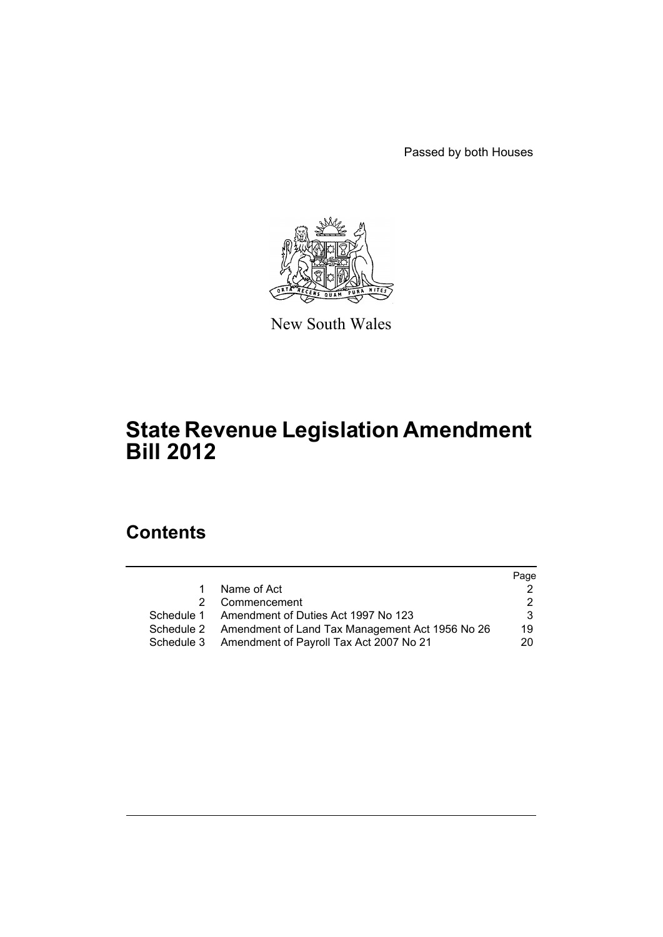Passed by both Houses



New South Wales

# **State Revenue Legislation Amendment Bill 2012**

# **Contents**

|    |                                                            | Page |
|----|------------------------------------------------------------|------|
| 1. | Name of Act                                                |      |
|    | 2 Commencement                                             |      |
|    | Schedule 1 Amendment of Duties Act 1997 No 123             | 3    |
|    | Schedule 2 Amendment of Land Tax Management Act 1956 No 26 | 19   |
|    | Schedule 3 Amendment of Payroll Tax Act 2007 No 21         | 20   |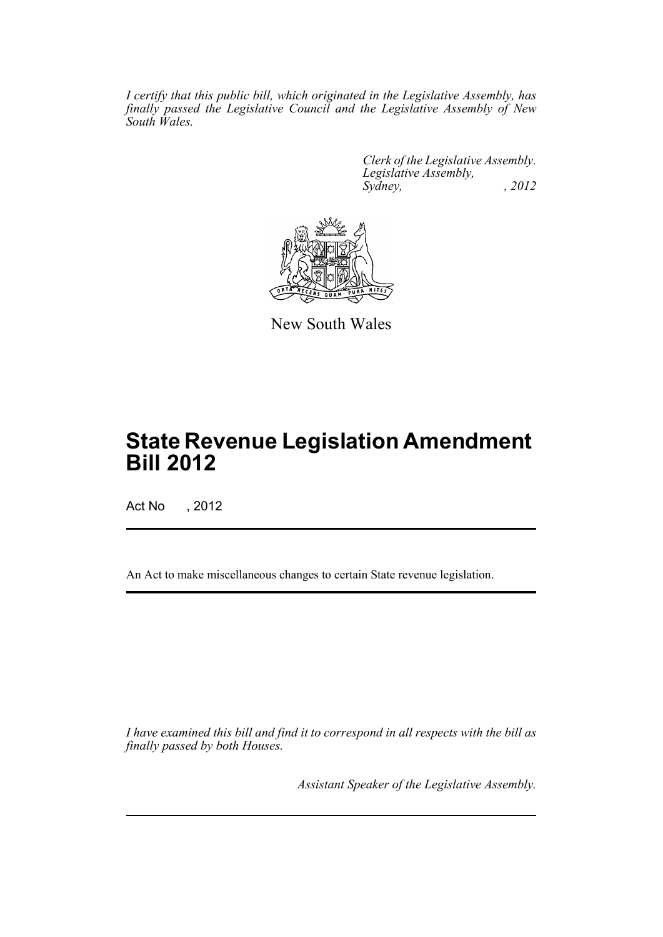*I certify that this public bill, which originated in the Legislative Assembly, has finally passed the Legislative Council and the Legislative Assembly of New South Wales.*

> *Clerk of the Legislative Assembly. Legislative Assembly, Sydney, , 2012*



New South Wales

# **State Revenue Legislation Amendment Bill 2012**

Act No , 2012

An Act to make miscellaneous changes to certain State revenue legislation.

*I have examined this bill and find it to correspond in all respects with the bill as finally passed by both Houses.*

*Assistant Speaker of the Legislative Assembly.*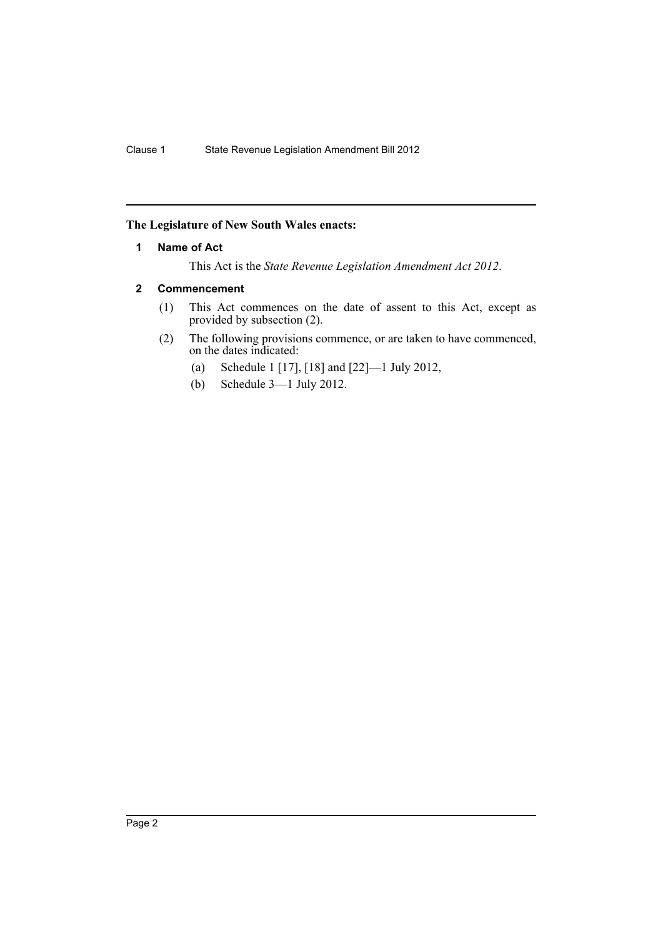## <span id="page-3-0"></span>**The Legislature of New South Wales enacts:**

## **1 Name of Act**

This Act is the *State Revenue Legislation Amendment Act 2012*.

## <span id="page-3-1"></span>**2 Commencement**

- (1) This Act commences on the date of assent to this Act, except as provided by subsection (2).
- (2) The following provisions commence, or are taken to have commenced, on the dates indicated:
	- (a) Schedule 1 [17], [18] and [22]—1 July 2012,
	- (b) Schedule 3—1 July 2012.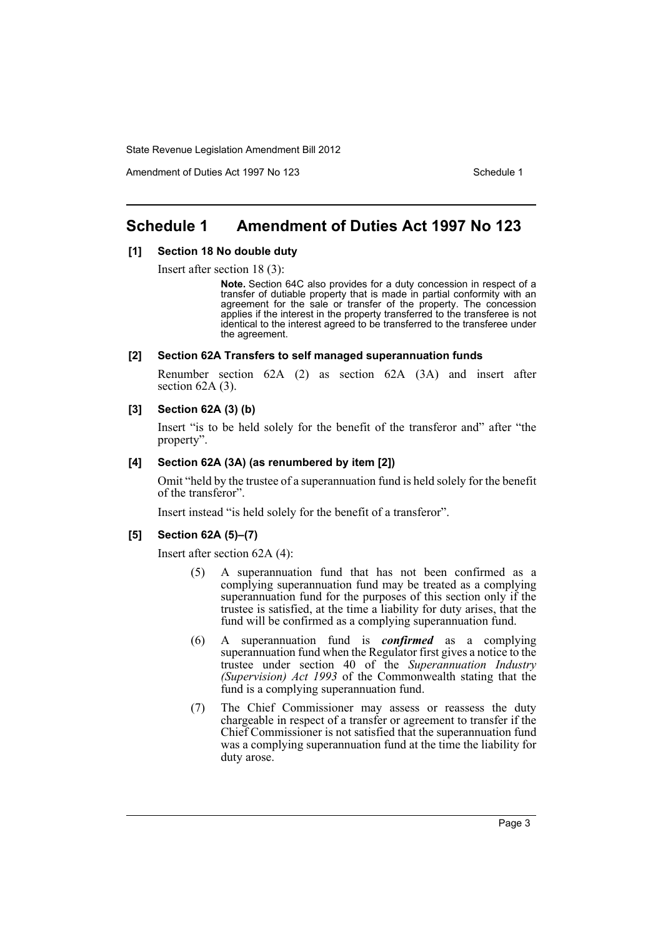Amendment of Duties Act 1997 No 123 Schedule 1

# <span id="page-4-0"></span>**Schedule 1 Amendment of Duties Act 1997 No 123**

### **[1] Section 18 No double duty**

Insert after section 18 (3):

**Note.** Section 64C also provides for a duty concession in respect of a transfer of dutiable property that is made in partial conformity with an agreement for the sale or transfer of the property. The concession applies if the interest in the property transferred to the transferee is not identical to the interest agreed to be transferred to the transferee under the agreement.

#### **[2] Section 62A Transfers to self managed superannuation funds**

Renumber section 62A (2) as section 62A (3A) and insert after section  $62A(3)$ .

## **[3] Section 62A (3) (b)**

Insert "is to be held solely for the benefit of the transferor and" after "the property".

#### **[4] Section 62A (3A) (as renumbered by item [2])**

Omit "held by the trustee of a superannuation fund is held solely for the benefit of the transferor".

Insert instead "is held solely for the benefit of a transferor".

### **[5] Section 62A (5)–(7)**

Insert after section 62A (4):

- (5) A superannuation fund that has not been confirmed as a complying superannuation fund may be treated as a complying superannuation fund for the purposes of this section only if the trustee is satisfied, at the time a liability for duty arises, that the fund will be confirmed as a complying superannuation fund.
- (6) A superannuation fund is *confirmed* as a complying superannuation fund when the Regulator first gives a notice to the trustee under section 40 of the *Superannuation Industry (Supervision) Act 1993* of the Commonwealth stating that the fund is a complying superannuation fund.
- (7) The Chief Commissioner may assess or reassess the duty chargeable in respect of a transfer or agreement to transfer if the Chief Commissioner is not satisfied that the superannuation fund was a complying superannuation fund at the time the liability for duty arose.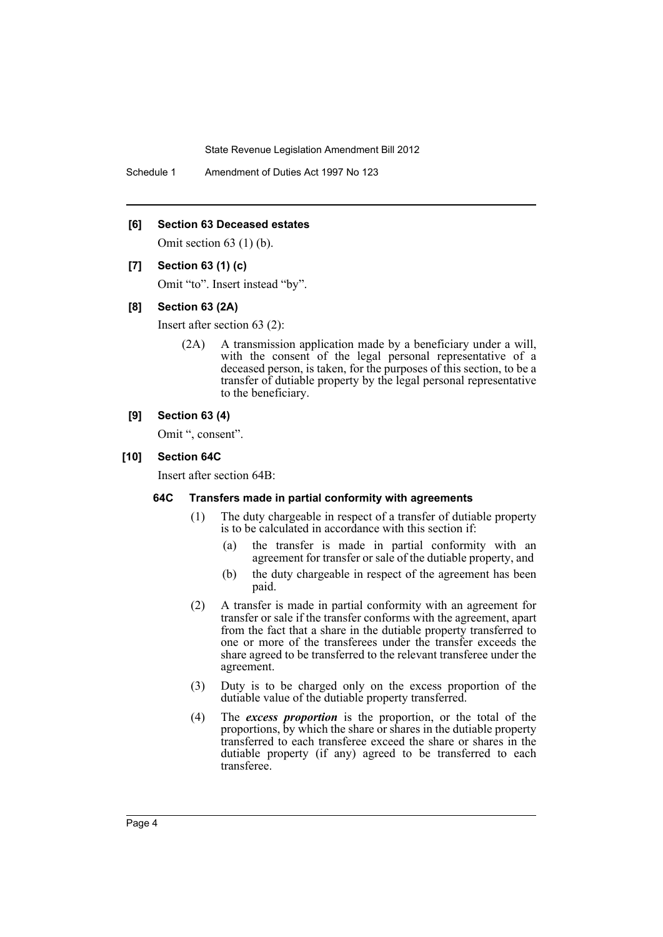Schedule 1 Amendment of Duties Act 1997 No 123

### **[6] Section 63 Deceased estates**

Omit section 63 (1) (b).

### **[7] Section 63 (1) (c)**

Omit "to". Insert instead "by".

#### **[8] Section 63 (2A)**

Insert after section 63 (2):

(2A) A transmission application made by a beneficiary under a will, with the consent of the legal personal representative of a deceased person, is taken, for the purposes of this section, to be a transfer of dutiable property by the legal personal representative to the beneficiary.

## **[9] Section 63 (4)**

Omit ", consent".

## **[10] Section 64C**

Insert after section 64B:

## **64C Transfers made in partial conformity with agreements**

- (1) The duty chargeable in respect of a transfer of dutiable property is to be calculated in accordance with this section if:
	- (a) the transfer is made in partial conformity with an agreement for transfer or sale of the dutiable property, and
	- (b) the duty chargeable in respect of the agreement has been paid.
- (2) A transfer is made in partial conformity with an agreement for transfer or sale if the transfer conforms with the agreement, apart from the fact that a share in the dutiable property transferred to one or more of the transferees under the transfer exceeds the share agreed to be transferred to the relevant transferee under the agreement.
- (3) Duty is to be charged only on the excess proportion of the dutiable value of the dutiable property transferred.
- (4) The *excess proportion* is the proportion, or the total of the proportions, by which the share or shares in the dutiable property transferred to each transferee exceed the share or shares in the dutiable property (if any) agreed to be transferred to each transferee.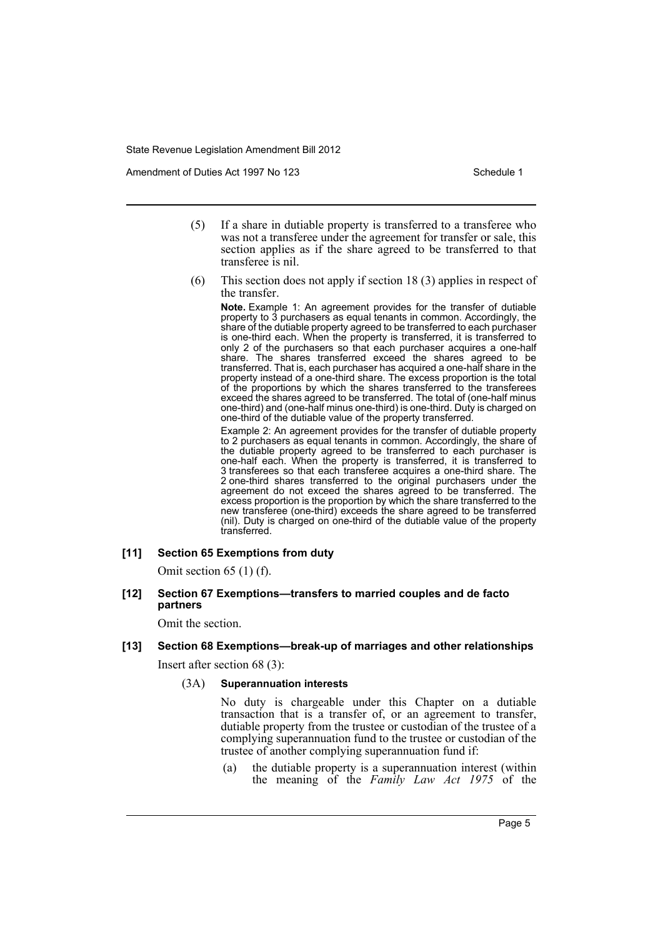Amendment of Duties Act 1997 No 123 Schedule 1

- (5) If a share in dutiable property is transferred to a transferee who was not a transferee under the agreement for transfer or sale, this section applies as if the share agreed to be transferred to that transferee is nil.
- (6) This section does not apply if section 18 (3) applies in respect of the transfer.

**Note.** Example 1: An agreement provides for the transfer of dutiable property to 3 purchasers as equal tenants in common. Accordingly, the share of the dutiable property agreed to be transferred to each purchaser is one-third each. When the property is transferred, it is transferred to only 2 of the purchasers so that each purchaser acquires a one-half share. The shares transferred exceed the shares agreed to be transferred. That is, each purchaser has acquired a one-half share in the property instead of a one-third share. The excess proportion is the total of the proportions by which the shares transferred to the transferees exceed the shares agreed to be transferred. The total of (one-half minus one-third) and (one-half minus one-third) is one-third. Duty is charged on one-third of the dutiable value of the property transferred.

Example 2: An agreement provides for the transfer of dutiable property to 2 purchasers as equal tenants in common. Accordingly, the share of the dutiable property agreed to be transferred to each purchaser is one-half each. When the property is transferred, it is transferred to 3 transferees so that each transferee acquires a one-third share. The 2 one-third shares transferred to the original purchasers under the agreement do not exceed the shares agreed to be transferred. The excess proportion is the proportion by which the share transferred to the new transferee (one-third) exceeds the share agreed to be transferred (nil). Duty is charged on one-third of the dutiable value of the property transferred.

## **[11] Section 65 Exemptions from duty**

Omit section 65 (1) (f).

**[12] Section 67 Exemptions—transfers to married couples and de facto partners**

Omit the section.

**[13] Section 68 Exemptions—break-up of marriages and other relationships** Insert after section 68 (3):

(3A) **Superannuation interests**

No duty is chargeable under this Chapter on a dutiable transaction that is a transfer of, or an agreement to transfer, dutiable property from the trustee or custodian of the trustee of a complying superannuation fund to the trustee or custodian of the trustee of another complying superannuation fund if:

(a) the dutiable property is a superannuation interest (within the meaning of the *Family Law Act 1975* of the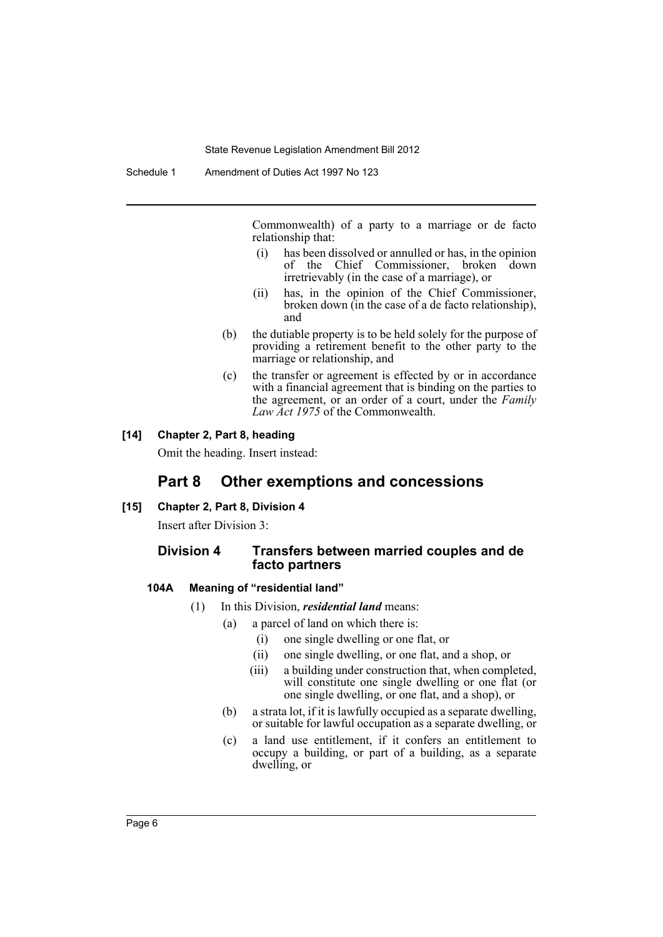Commonwealth) of a party to a marriage or de facto relationship that:

- (i) has been dissolved or annulled or has, in the opinion of the Chief Commissioner, broken down irretrievably (in the case of a marriage), or
- (ii) has, in the opinion of the Chief Commissioner, broken down (in the case of a de facto relationship), and
- (b) the dutiable property is to be held solely for the purpose of providing a retirement benefit to the other party to the marriage or relationship, and
- (c) the transfer or agreement is effected by or in accordance with a financial agreement that is binding on the parties to the agreement, or an order of a court, under the *Family Law Act 1975* of the Commonwealth.

## **[14] Chapter 2, Part 8, heading**

Omit the heading. Insert instead:

## **Part 8 Other exemptions and concessions**

## **[15] Chapter 2, Part 8, Division 4**

Insert after Division 3:

## **Division 4 Transfers between married couples and de facto partners**

#### **104A Meaning of "residential land"**

- (1) In this Division, *residential land* means:
	- (a) a parcel of land on which there is:
		- (i) one single dwelling or one flat, or
		- (ii) one single dwelling, or one flat, and a shop, or
		- (iii) a building under construction that, when completed, will constitute one single dwelling or one flat (or one single dwelling, or one flat, and a shop), or
	- (b) a strata lot, if it is lawfully occupied as a separate dwelling, or suitable for lawful occupation as a separate dwelling, or
	- (c) a land use entitlement, if it confers an entitlement to occupy a building, or part of a building, as a separate dwelling, or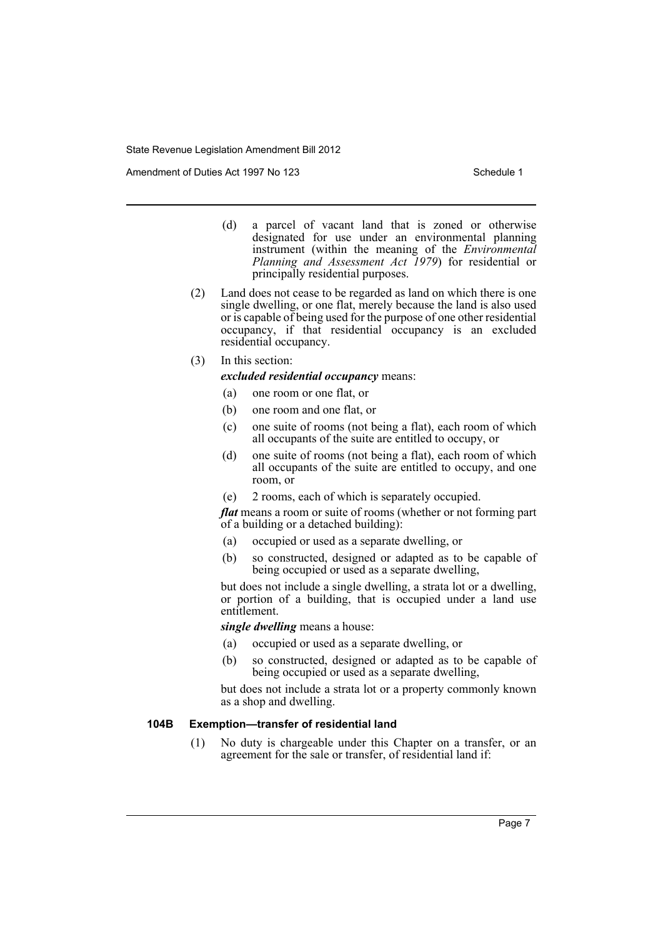Amendment of Duties Act 1997 No 123 Schedule 1

- (d) a parcel of vacant land that is zoned or otherwise designated for use under an environmental planning instrument (within the meaning of the *Environmental Planning and Assessment Act 1979*) for residential or principally residential purposes.
- (2) Land does not cease to be regarded as land on which there is one single dwelling, or one flat, merely because the land is also used or is capable of being used for the purpose of one other residential occupancy, if that residential occupancy is an excluded residential occupancy.
- (3) In this section:

*excluded residential occupancy* means:

- (a) one room or one flat, or
- (b) one room and one flat, or
- (c) one suite of rooms (not being a flat), each room of which all occupants of the suite are entitled to occupy, or
- (d) one suite of rooms (not being a flat), each room of which all occupants of the suite are entitled to occupy, and one room, or
- (e) 2 rooms, each of which is separately occupied.

*flat* means a room or suite of rooms (whether or not forming part of a building or a detached building):

- (a) occupied or used as a separate dwelling, or
- (b) so constructed, designed or adapted as to be capable of being occupied or used as a separate dwelling,

but does not include a single dwelling, a strata lot or a dwelling, or portion of a building, that is occupied under a land use entitlement.

*single dwelling* means a house:

- (a) occupied or used as a separate dwelling, or
- (b) so constructed, designed or adapted as to be capable of being occupied or used as a separate dwelling,

but does not include a strata lot or a property commonly known as a shop and dwelling.

## **104B Exemption—transfer of residential land**

(1) No duty is chargeable under this Chapter on a transfer, or an agreement for the sale or transfer, of residential land if: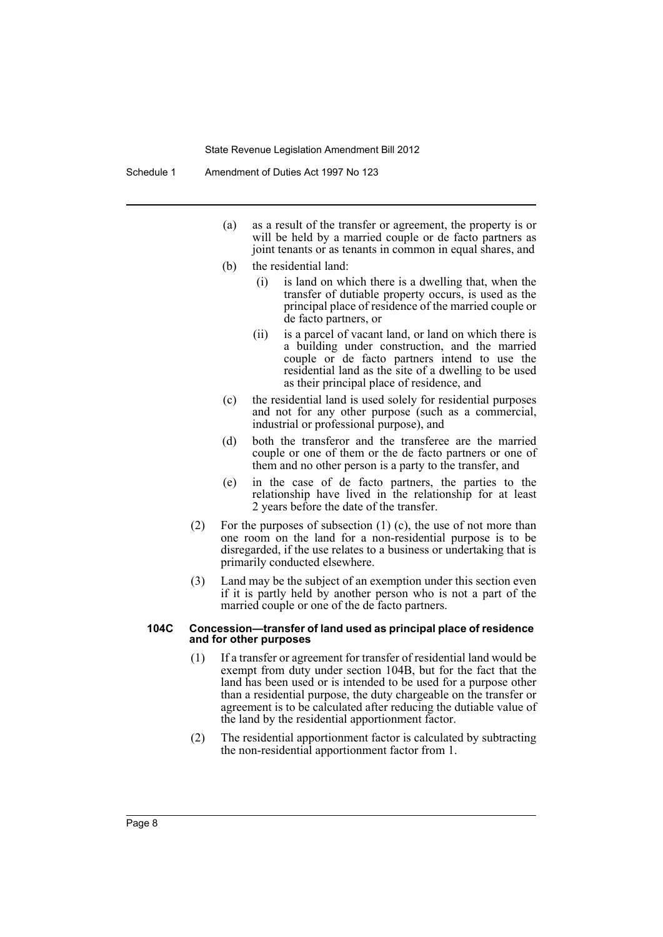- (a) as a result of the transfer or agreement, the property is or will be held by a married couple or de facto partners as joint tenants or as tenants in common in equal shares, and
- (b) the residential land:
	- (i) is land on which there is a dwelling that, when the transfer of dutiable property occurs, is used as the principal place of residence of the married couple or de facto partners, or
	- (ii) is a parcel of vacant land, or land on which there is a building under construction, and the married couple or de facto partners intend to use the residential land as the site of a dwelling to be used as their principal place of residence, and
- (c) the residential land is used solely for residential purposes and not for any other purpose (such as a commercial, industrial or professional purpose), and
- (d) both the transferor and the transferee are the married couple or one of them or the de facto partners or one of them and no other person is a party to the transfer, and
- (e) in the case of de facto partners, the parties to the relationship have lived in the relationship for at least 2 years before the date of the transfer.
- (2) For the purposes of subsection (1) (c), the use of not more than one room on the land for a non-residential purpose is to be disregarded, if the use relates to a business or undertaking that is primarily conducted elsewhere.
- (3) Land may be the subject of an exemption under this section even if it is partly held by another person who is not a part of the married couple or one of the de facto partners.

#### **104C Concession—transfer of land used as principal place of residence and for other purposes**

- (1) If a transfer or agreement for transfer of residential land would be exempt from duty under section 104B, but for the fact that the land has been used or is intended to be used for a purpose other than a residential purpose, the duty chargeable on the transfer or agreement is to be calculated after reducing the dutiable value of the land by the residential apportionment factor.
- (2) The residential apportionment factor is calculated by subtracting the non-residential apportionment factor from 1.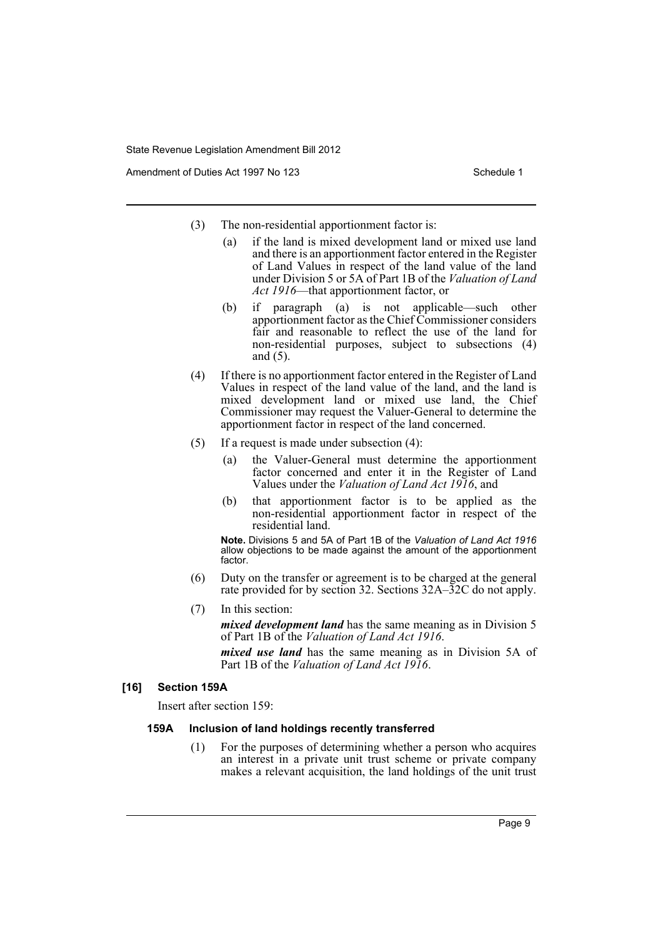Amendment of Duties Act 1997 No 123 Schedule 1

- (3) The non-residential apportionment factor is:
	- (a) if the land is mixed development land or mixed use land and there is an apportionment factor entered in the Register of Land Values in respect of the land value of the land under Division 5 or 5A of Part 1B of the *Valuation of Land Act 1916*—that apportionment factor, or
	- (b) if paragraph (a) is not applicable—such other apportionment factor as the Chief Commissioner considers fair and reasonable to reflect the use of the land for non-residential purposes, subject to subsections (4) and (5).
- (4) If there is no apportionment factor entered in the Register of Land Values in respect of the land value of the land, and the land is mixed development land or mixed use land, the Chief Commissioner may request the Valuer-General to determine the apportionment factor in respect of the land concerned.
- (5) If a request is made under subsection (4):
	- (a) the Valuer-General must determine the apportionment factor concerned and enter it in the Register of Land Values under the *Valuation of Land Act 1916*, and
	- (b) that apportionment factor is to be applied as the non-residential apportionment factor in respect of the residential land.

**Note.** Divisions 5 and 5A of Part 1B of the *Valuation of Land Act 1916* allow objections to be made against the amount of the apportionment factor.

- (6) Duty on the transfer or agreement is to be charged at the general rate provided for by section 32. Sections 32A–32C do not apply.
- (7) In this section:

*mixed development land* has the same meaning as in Division 5 of Part 1B of the *Valuation of Land Act 1916*.

*mixed use land* has the same meaning as in Division 5A of Part 1B of the *Valuation of Land Act 1916*.

## **[16] Section 159A**

Insert after section 159:

### **159A Inclusion of land holdings recently transferred**

(1) For the purposes of determining whether a person who acquires an interest in a private unit trust scheme or private company makes a relevant acquisition, the land holdings of the unit trust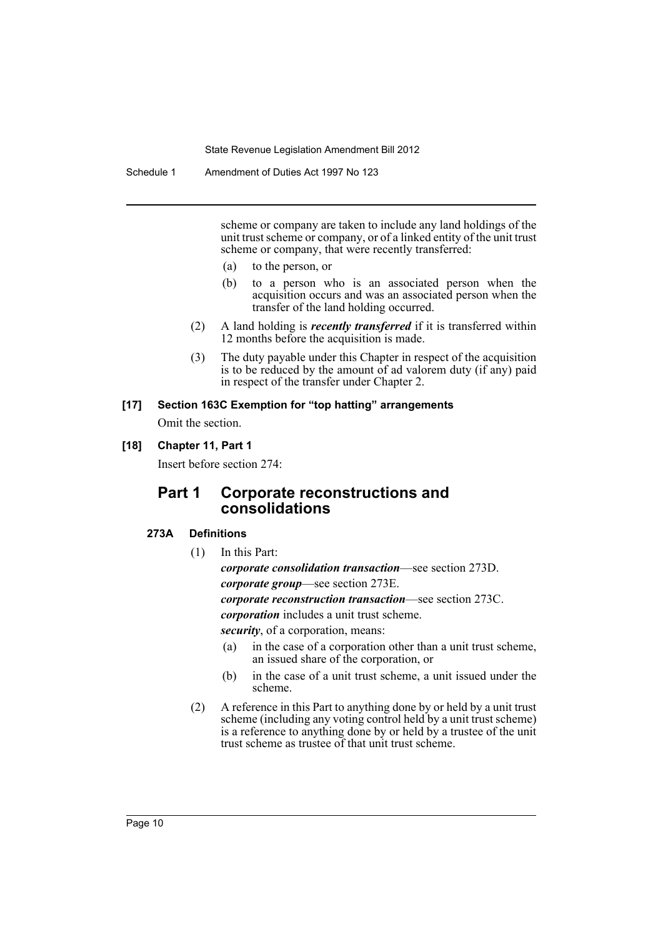Schedule 1 Amendment of Duties Act 1997 No 123

scheme or company are taken to include any land holdings of the unit trust scheme or company, or of a linked entity of the unit trust scheme or company, that were recently transferred:

- (a) to the person, or
- (b) to a person who is an associated person when the acquisition occurs and was an associated person when the transfer of the land holding occurred.
- (2) A land holding is *recently transferred* if it is transferred within 12 months before the acquisition is made.
- (3) The duty payable under this Chapter in respect of the acquisition is to be reduced by the amount of ad valorem duty (if any) paid in respect of the transfer under Chapter 2.

## **[17] Section 163C Exemption for "top hatting" arrangements** Omit the section.

# **[18] Chapter 11, Part 1**

Insert before section 274:

# **Part 1 Corporate reconstructions and consolidations**

## **273A Definitions**

(1) In this Part:

*corporate consolidation transaction*—see section 273D. *corporate group*—see section 273E.

*corporate reconstruction transaction*—see section 273C.

*corporation* includes a unit trust scheme.

*security*, of a corporation, means:

- (a) in the case of a corporation other than a unit trust scheme, an issued share of the corporation, or
- (b) in the case of a unit trust scheme, a unit issued under the scheme.
- (2) A reference in this Part to anything done by or held by a unit trust scheme (including any voting control held by a unit trust scheme) is a reference to anything done by or held by a trustee of the unit trust scheme as trustee of that unit trust scheme.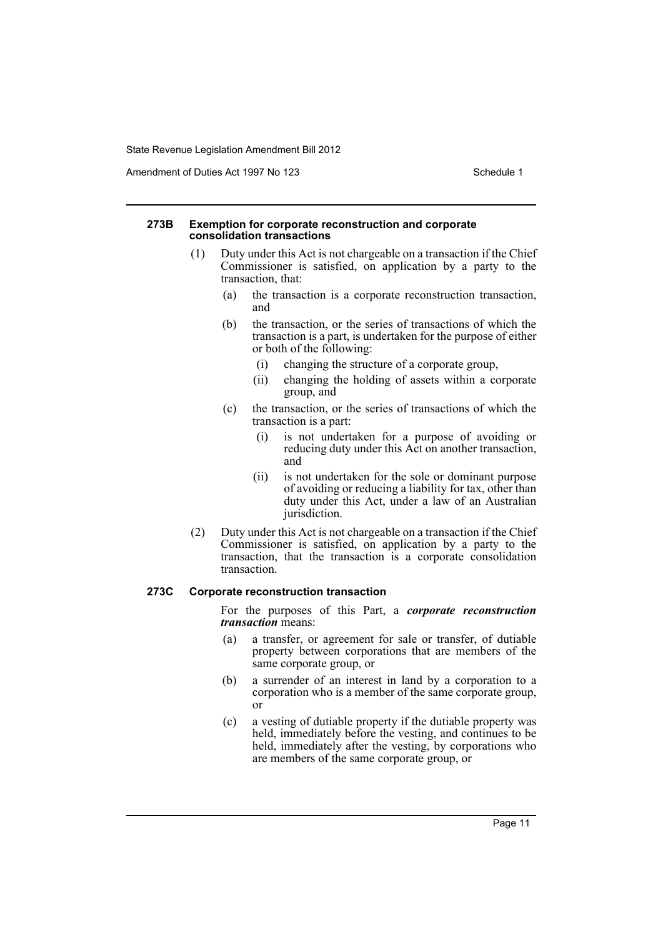Amendment of Duties Act 1997 No 123 Schedule 1

#### **273B Exemption for corporate reconstruction and corporate consolidation transactions**

- (1) Duty under this Act is not chargeable on a transaction if the Chief Commissioner is satisfied, on application by a party to the transaction, that:
	- (a) the transaction is a corporate reconstruction transaction, and
	- (b) the transaction, or the series of transactions of which the transaction is a part, is undertaken for the purpose of either or both of the following:
		- (i) changing the structure of a corporate group,
		- (ii) changing the holding of assets within a corporate group, and
	- (c) the transaction, or the series of transactions of which the transaction is a part:
		- (i) is not undertaken for a purpose of avoiding or reducing duty under this Act on another transaction, and
		- (ii) is not undertaken for the sole or dominant purpose of avoiding or reducing a liability for tax, other than duty under this Act, under a law of an Australian jurisdiction.
- (2) Duty under this Act is not chargeable on a transaction if the Chief Commissioner is satisfied, on application by a party to the transaction, that the transaction is a corporate consolidation transaction.

## **273C Corporate reconstruction transaction**

For the purposes of this Part, a *corporate reconstruction transaction* means:

- (a) a transfer, or agreement for sale or transfer, of dutiable property between corporations that are members of the same corporate group, or
- (b) a surrender of an interest in land by a corporation to a corporation who is a member of the same corporate group, or
- (c) a vesting of dutiable property if the dutiable property was held, immediately before the vesting, and continues to be held, immediately after the vesting, by corporations who are members of the same corporate group, or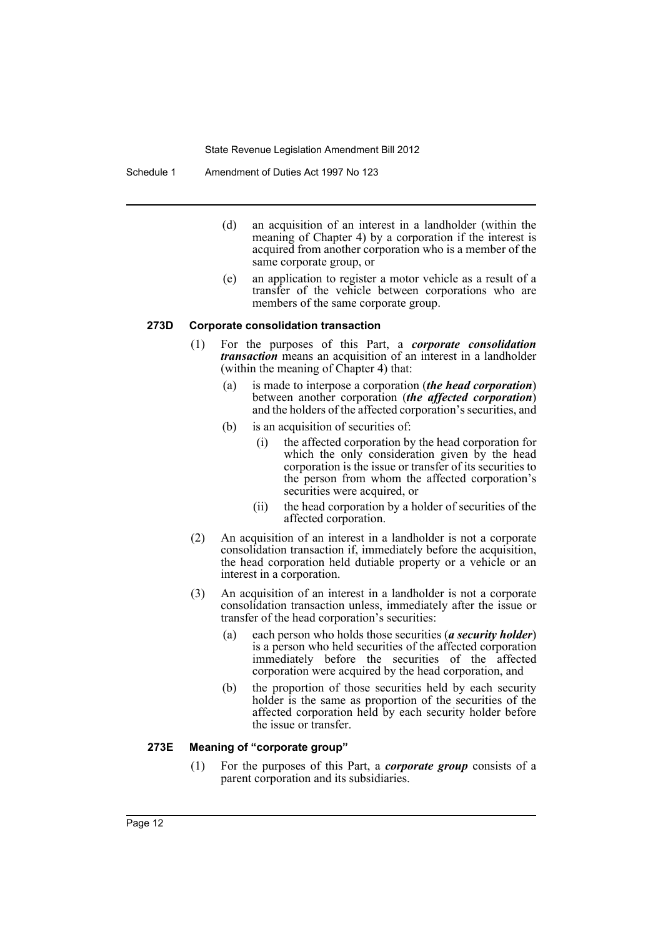Schedule 1 Amendment of Duties Act 1997 No 123

- (d) an acquisition of an interest in a landholder (within the meaning of Chapter 4) by a corporation if the interest is acquired from another corporation who is a member of the same corporate group, or
- (e) an application to register a motor vehicle as a result of a transfer of the vehicle between corporations who are members of the same corporate group.

#### **273D Corporate consolidation transaction**

- (1) For the purposes of this Part, a *corporate consolidation transaction* means an acquisition of an interest in a landholder (within the meaning of Chapter 4) that:
	- (a) is made to interpose a corporation (*the head corporation*) between another corporation (*the affected corporation*) and the holders of the affected corporation's securities, and
	- (b) is an acquisition of securities of:
		- (i) the affected corporation by the head corporation for which the only consideration given by the head corporation is the issue or transfer of its securities to the person from whom the affected corporation's securities were acquired, or
		- (ii) the head corporation by a holder of securities of the affected corporation.
- (2) An acquisition of an interest in a landholder is not a corporate consolidation transaction if, immediately before the acquisition, the head corporation held dutiable property or a vehicle or an interest in a corporation.
- (3) An acquisition of an interest in a landholder is not a corporate consolidation transaction unless, immediately after the issue or transfer of the head corporation's securities:
	- (a) each person who holds those securities (*a security holder*) is a person who held securities of the affected corporation immediately before the securities of the affected corporation were acquired by the head corporation, and
	- (b) the proportion of those securities held by each security holder is the same as proportion of the securities of the affected corporation held by each security holder before the issue or transfer.

#### **273E Meaning of "corporate group"**

(1) For the purposes of this Part, a *corporate group* consists of a parent corporation and its subsidiaries.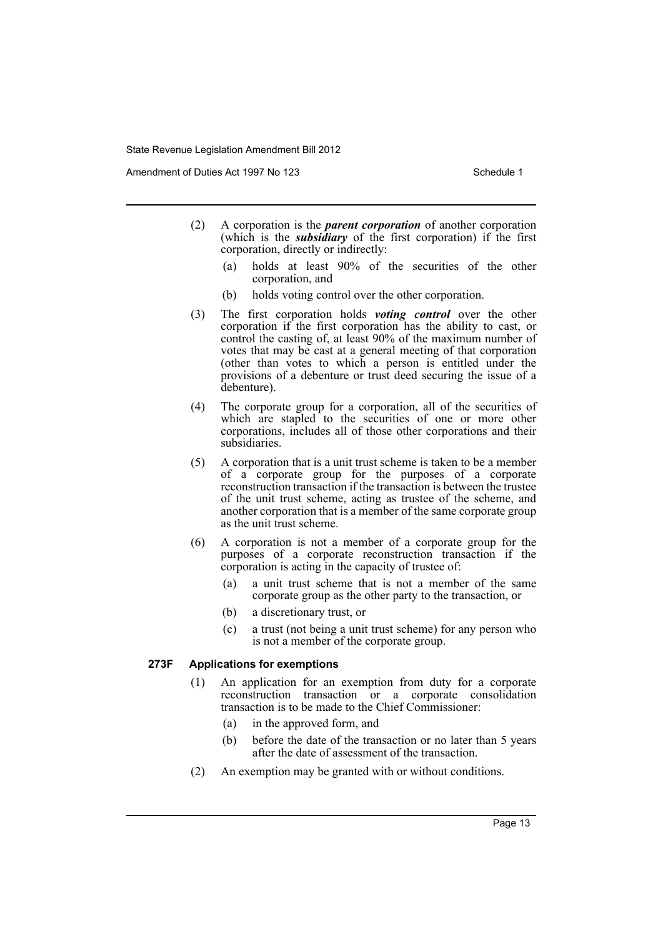Amendment of Duties Act 1997 No 123 Schedule 1

- (2) A corporation is the *parent corporation* of another corporation (which is the *subsidiary* of the first corporation) if the first corporation, directly or indirectly:
	- (a) holds at least 90% of the securities of the other corporation, and
	- (b) holds voting control over the other corporation.
- (3) The first corporation holds *voting control* over the other corporation if the first corporation has the ability to cast, or control the casting of, at least 90% of the maximum number of votes that may be cast at a general meeting of that corporation (other than votes to which a person is entitled under the provisions of a debenture or trust deed securing the issue of a debenture).
- (4) The corporate group for a corporation, all of the securities of which are stapled to the securities of one or more other corporations, includes all of those other corporations and their subsidiaries.
- (5) A corporation that is a unit trust scheme is taken to be a member of a corporate group for the purposes of a corporate reconstruction transaction if the transaction is between the trustee of the unit trust scheme, acting as trustee of the scheme, and another corporation that is a member of the same corporate group as the unit trust scheme.
- (6) A corporation is not a member of a corporate group for the purposes of a corporate reconstruction transaction if the corporation is acting in the capacity of trustee of:
	- (a) a unit trust scheme that is not a member of the same corporate group as the other party to the transaction, or
	- (b) a discretionary trust, or
	- (c) a trust (not being a unit trust scheme) for any person who is not a member of the corporate group.

## **273F Applications for exemptions**

- (1) An application for an exemption from duty for a corporate reconstruction transaction or a corporate consolidation transaction is to be made to the Chief Commissioner:
	- (a) in the approved form, and
	- (b) before the date of the transaction or no later than 5 years after the date of assessment of the transaction.
- (2) An exemption may be granted with or without conditions.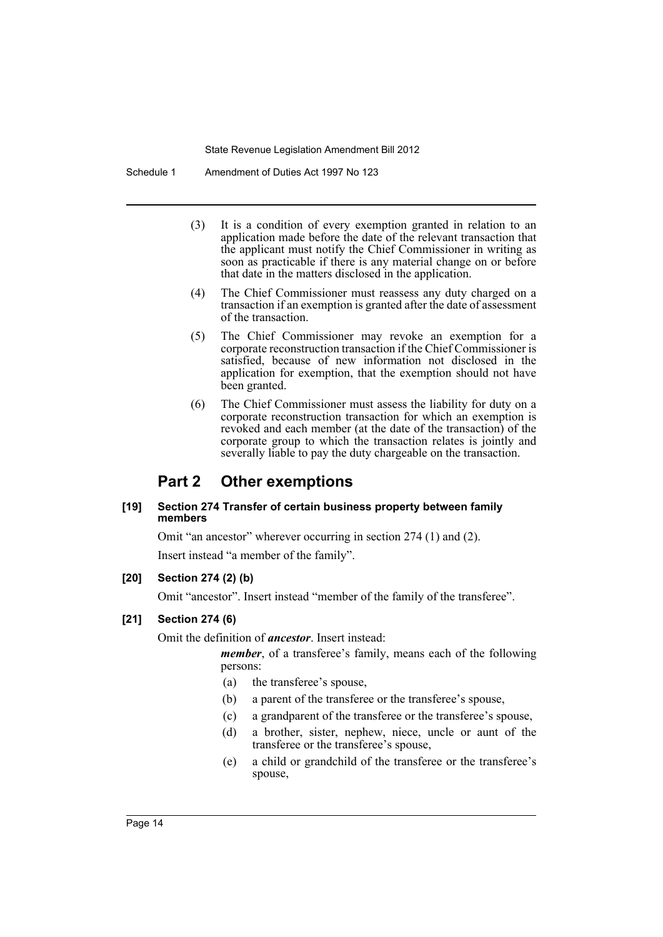Schedule 1 Amendment of Duties Act 1997 No 123

- (3) It is a condition of every exemption granted in relation to an application made before the date of the relevant transaction that the applicant must notify the Chief Commissioner in writing as soon as practicable if there is any material change on or before that date in the matters disclosed in the application.
- (4) The Chief Commissioner must reassess any duty charged on a transaction if an exemption is granted after the date of assessment of the transaction.
- (5) The Chief Commissioner may revoke an exemption for a corporate reconstruction transaction if the Chief Commissioner is satisfied, because of new information not disclosed in the application for exemption, that the exemption should not have been granted.
- (6) The Chief Commissioner must assess the liability for duty on a corporate reconstruction transaction for which an exemption is revoked and each member (at the date of the transaction) of the corporate group to which the transaction relates is jointly and severally liable to pay the duty chargeable on the transaction.

# **Part 2 Other exemptions**

## **[19] Section 274 Transfer of certain business property between family members**

Omit "an ancestor" wherever occurring in section 274 (1) and (2).

Insert instead "a member of the family".

## **[20] Section 274 (2) (b)**

Omit "ancestor". Insert instead "member of the family of the transferee".

## **[21] Section 274 (6)**

Omit the definition of *ancestor*. Insert instead:

*member*, of a transferee's family, means each of the following persons:

- (a) the transferee's spouse,
- (b) a parent of the transferee or the transferee's spouse,
- (c) a grandparent of the transferee or the transferee's spouse,
- (d) a brother, sister, nephew, niece, uncle or aunt of the transferee or the transferee's spouse,
- (e) a child or grandchild of the transferee or the transferee's spouse,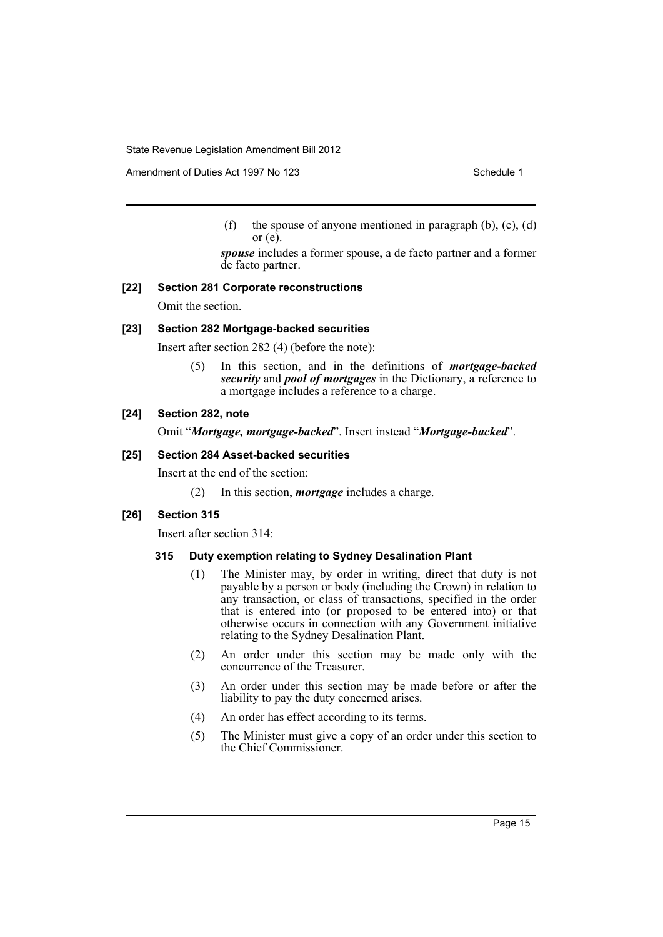Amendment of Duties Act 1997 No 123 Schedule 1

(f) the spouse of anyone mentioned in paragraph  $(b)$ ,  $(c)$ ,  $(d)$ or  $(e)$ .

*spouse* includes a former spouse, a de facto partner and a former de facto partner.

## **[22] Section 281 Corporate reconstructions**

Omit the section.

### **[23] Section 282 Mortgage-backed securities**

Insert after section 282 (4) (before the note):

(5) In this section, and in the definitions of *mortgage-backed security* and *pool of mortgages* in the Dictionary, a reference to a mortgage includes a reference to a charge.

## **[24] Section 282, note**

Omit "*Mortgage, mortgage-backed*". Insert instead "*Mortgage-backed*".

#### **[25] Section 284 Asset-backed securities**

Insert at the end of the section:

(2) In this section, *mortgage* includes a charge.

### **[26] Section 315**

Insert after section 314:

### **315 Duty exemption relating to Sydney Desalination Plant**

- (1) The Minister may, by order in writing, direct that duty is not payable by a person or body (including the Crown) in relation to any transaction, or class of transactions, specified in the order that is entered into (or proposed to be entered into) or that otherwise occurs in connection with any Government initiative relating to the Sydney Desalination Plant.
- (2) An order under this section may be made only with the concurrence of the Treasurer.
- (3) An order under this section may be made before or after the liability to pay the duty concerned arises.
- (4) An order has effect according to its terms.
- (5) The Minister must give a copy of an order under this section to the Chief Commissioner.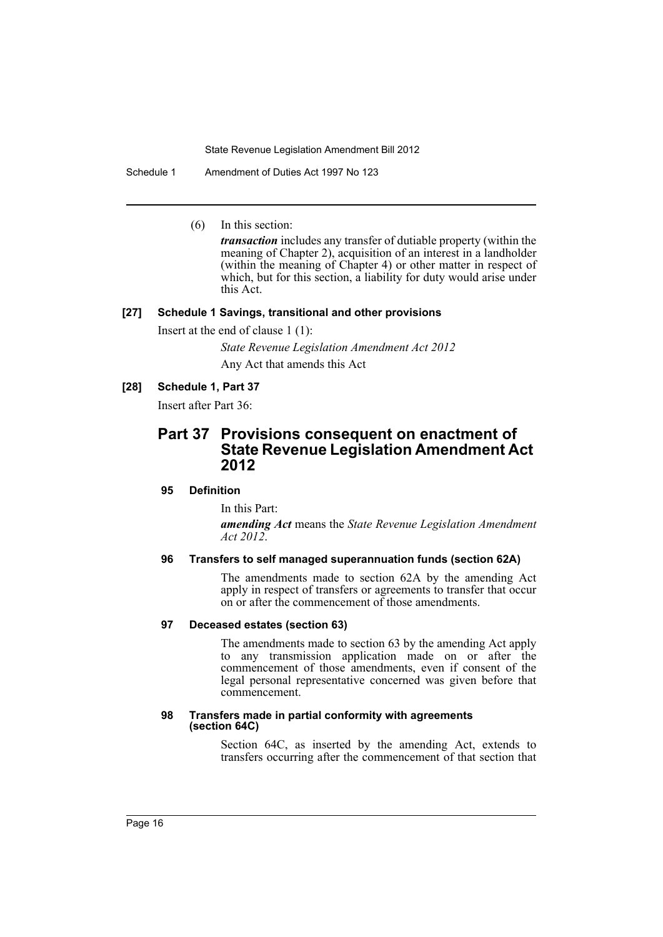Schedule 1 Amendment of Duties Act 1997 No 123

(6) In this section:

*transaction* includes any transfer of dutiable property (within the meaning of Chapter 2), acquisition of an interest in a landholder (within the meaning of Chapter 4) or other matter in respect of which, but for this section, a liability for duty would arise under this Act.

## **[27] Schedule 1 Savings, transitional and other provisions**

Insert at the end of clause 1 (1):

*State Revenue Legislation Amendment Act 2012*

Any Act that amends this Act

#### **[28] Schedule 1, Part 37**

Insert after Part 36:

## **Part 37 Provisions consequent on enactment of State Revenue Legislation Amendment Act 2012**

### **95 Definition**

In this Part:

*amending Act* means the *State Revenue Legislation Amendment Act 2012*.

#### **96 Transfers to self managed superannuation funds (section 62A)**

The amendments made to section 62A by the amending Act apply in respect of transfers or agreements to transfer that occur on or after the commencement of those amendments.

### **97 Deceased estates (section 63)**

The amendments made to section 63 by the amending Act apply to any transmission application made on or after the commencement of those amendments, even if consent of the legal personal representative concerned was given before that commencement.

#### **98 Transfers made in partial conformity with agreements (section 64C)**

Section 64C, as inserted by the amending Act, extends to transfers occurring after the commencement of that section that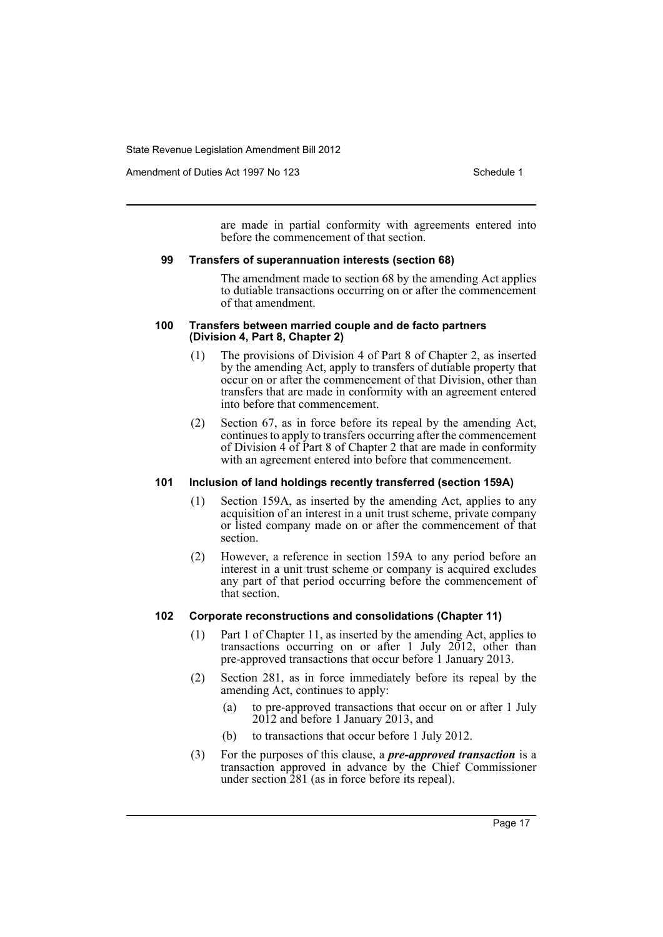Amendment of Duties Act 1997 No 123 Schedule 1

are made in partial conformity with agreements entered into before the commencement of that section.

#### **99 Transfers of superannuation interests (section 68)**

The amendment made to section 68 by the amending Act applies to dutiable transactions occurring on or after the commencement of that amendment.

#### **100 Transfers between married couple and de facto partners (Division 4, Part 8, Chapter 2)**

- (1) The provisions of Division 4 of Part 8 of Chapter 2, as inserted by the amending Act, apply to transfers of dutiable property that occur on or after the commencement of that Division, other than transfers that are made in conformity with an agreement entered into before that commencement.
- (2) Section 67, as in force before its repeal by the amending Act, continues to apply to transfers occurring after the commencement of Division 4 of Part 8 of Chapter 2 that are made in conformity with an agreement entered into before that commencement.

## **101 Inclusion of land holdings recently transferred (section 159A)**

- (1) Section 159A, as inserted by the amending Act, applies to any acquisition of an interest in a unit trust scheme, private company or listed company made on or after the commencement of that section.
- (2) However, a reference in section 159A to any period before an interest in a unit trust scheme or company is acquired excludes any part of that period occurring before the commencement of that section.

## **102 Corporate reconstructions and consolidations (Chapter 11)**

- (1) Part 1 of Chapter 11, as inserted by the amending Act, applies to transactions occurring on or after 1 July 2012, other than pre-approved transactions that occur before 1 January 2013.
- (2) Section 281, as in force immediately before its repeal by the amending Act, continues to apply:
	- (a) to pre-approved transactions that occur on or after 1 July 2012 and before 1 January 2013, and
	- (b) to transactions that occur before 1 July 2012.
- (3) For the purposes of this clause, a *pre-approved transaction* is a transaction approved in advance by the Chief Commissioner under section 281 (as in force before its repeal).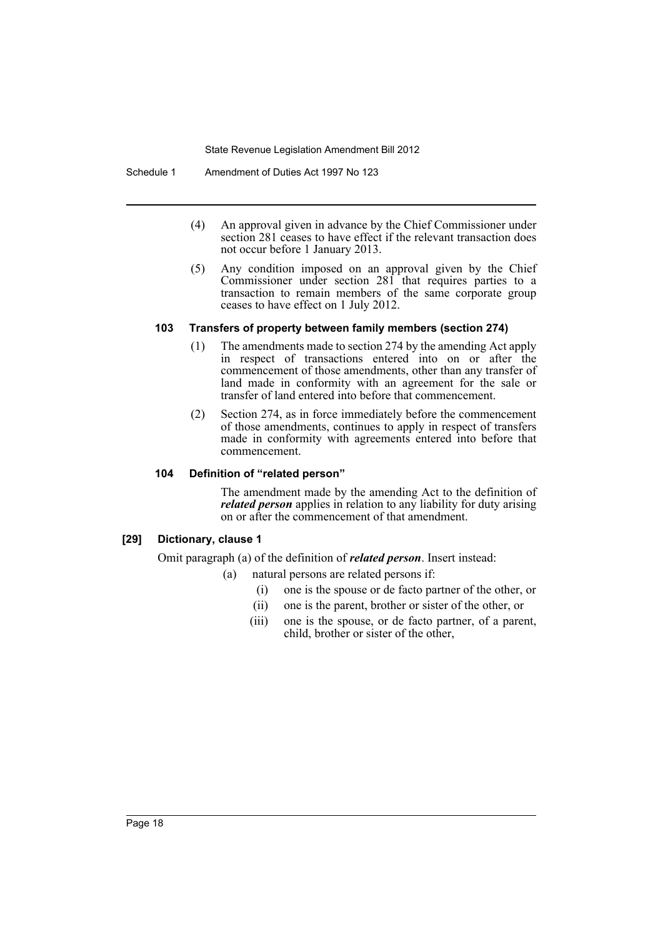Schedule 1 Amendment of Duties Act 1997 No 123

- (4) An approval given in advance by the Chief Commissioner under section 281 ceases to have effect if the relevant transaction does not occur before 1 January 2013.
- (5) Any condition imposed on an approval given by the Chief Commissioner under section 281 that requires parties to a transaction to remain members of the same corporate group ceases to have effect on 1 July 2012.

## **103 Transfers of property between family members (section 274)**

- (1) The amendments made to section 274 by the amending Act apply in respect of transactions entered into on or after the commencement of those amendments, other than any transfer of land made in conformity with an agreement for the sale or transfer of land entered into before that commencement.
- (2) Section 274, as in force immediately before the commencement of those amendments, continues to apply in respect of transfers made in conformity with agreements entered into before that commencement.

## **104 Definition of "related person"**

The amendment made by the amending Act to the definition of *related person* applies in relation to any liability for duty arising on or after the commencement of that amendment.

## **[29] Dictionary, clause 1**

Omit paragraph (a) of the definition of *related person*. Insert instead:

- (a) natural persons are related persons if:
	- (i) one is the spouse or de facto partner of the other, or
	- (ii) one is the parent, brother or sister of the other, or
	- (iii) one is the spouse, or de facto partner, of a parent, child, brother or sister of the other,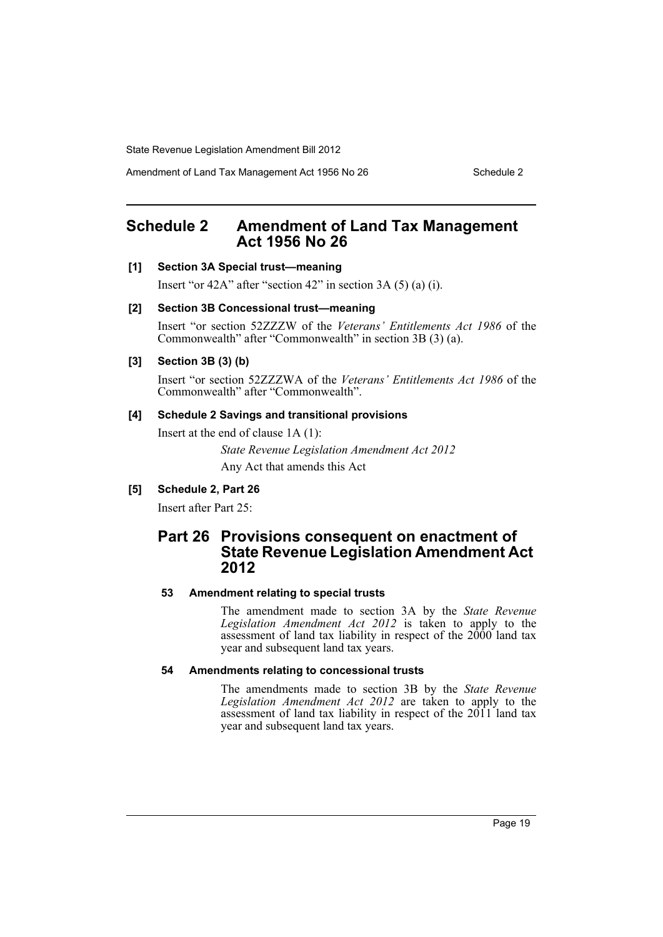Amendment of Land Tax Management Act 1956 No 26 Schedule 2

# <span id="page-20-0"></span>**Schedule 2 Amendment of Land Tax Management Act 1956 No 26**

### **[1] Section 3A Special trust—meaning**

Insert "or  $42A$ " after "section  $42$ " in section  $3A(5)(a)(i)$ .

#### **[2] Section 3B Concessional trust—meaning**

Insert "or section 52ZZZW of the *Veterans' Entitlements Act 1986* of the Commonwealth" after "Commonwealth" in section 3B (3) (a).

#### **[3] Section 3B (3) (b)**

Insert "or section 52ZZZWA of the *Veterans' Entitlements Act 1986* of the Commonwealth" after "Commonwealth".

#### **[4] Schedule 2 Savings and transitional provisions**

Insert at the end of clause 1A (1):

*State Revenue Legislation Amendment Act 2012* Any Act that amends this Act

## **[5] Schedule 2, Part 26**

Insert after Part 25:

# **Part 26 Provisions consequent on enactment of State Revenue Legislation Amendment Act 2012**

## **53 Amendment relating to special trusts**

The amendment made to section 3A by the *State Revenue Legislation Amendment Act 2012* is taken to apply to the assessment of land tax liability in respect of the 2000 land tax year and subsequent land tax years.

## **54 Amendments relating to concessional trusts**

The amendments made to section 3B by the *State Revenue Legislation Amendment Act 2012* are taken to apply to the assessment of land tax liability in respect of the 2011 land tax year and subsequent land tax years.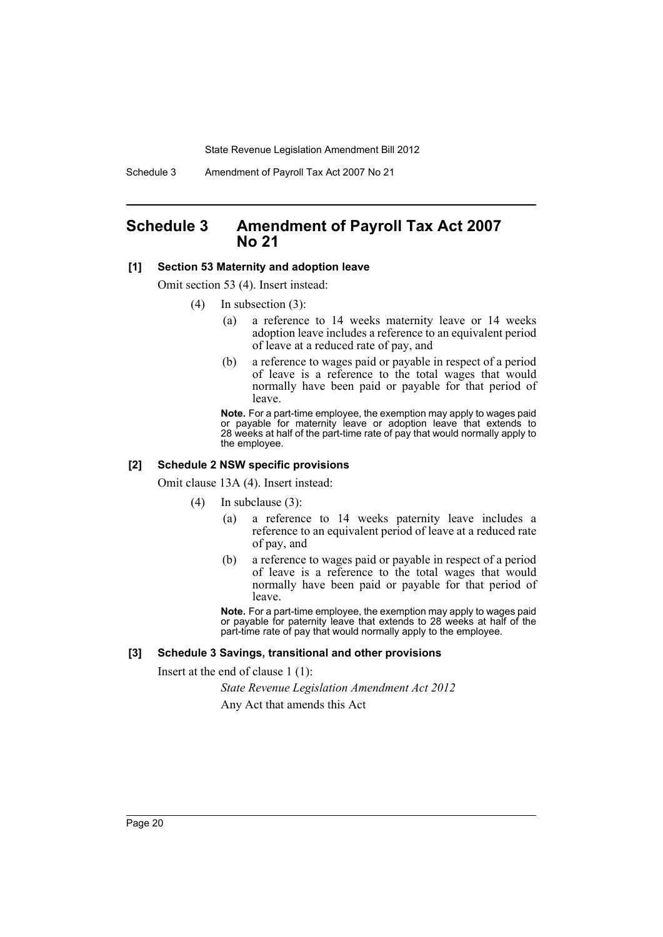Schedule 3 Amendment of Payroll Tax Act 2007 No 21

## <span id="page-21-0"></span>**Schedule 3 Amendment of Payroll Tax Act 2007 No 21**

#### **[1] Section 53 Maternity and adoption leave**

Omit section 53 (4). Insert instead:

- (4) In subsection (3):
	- (a) a reference to 14 weeks maternity leave or 14 weeks adoption leave includes a reference to an equivalent period of leave at a reduced rate of pay, and
	- (b) a reference to wages paid or payable in respect of a period of leave is a reference to the total wages that would normally have been paid or payable for that period of leave.

**Note.** For a part-time employee, the exemption may apply to wages paid or payable for maternity leave or adoption leave that extends to 28 weeks at half of the part-time rate of pay that would normally apply to the employee.

#### **[2] Schedule 2 NSW specific provisions**

Omit clause 13A (4). Insert instead:

(4) In subclause (3):

- (a) a reference to 14 weeks paternity leave includes a reference to an equivalent period of leave at a reduced rate of pay, and
- (b) a reference to wages paid or payable in respect of a period of leave is a reference to the total wages that would normally have been paid or payable for that period of leave.

**Note.** For a part-time employee, the exemption may apply to wages paid or payable for paternity leave that extends to 28 weeks at half of the part-time rate of pay that would normally apply to the employee.

#### **[3] Schedule 3 Savings, transitional and other provisions**

Insert at the end of clause 1 (1):

*State Revenue Legislation Amendment Act 2012*

Any Act that amends this Act